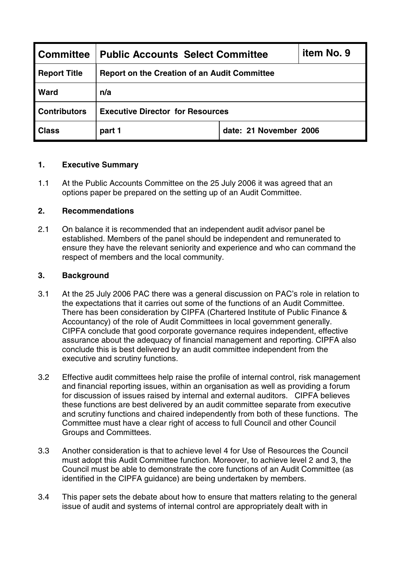| <b>Committee</b>    | <b>Public Accounts Select Committee</b>             |                        | item No. 9 |
|---------------------|-----------------------------------------------------|------------------------|------------|
| <b>Report Title</b> | <b>Report on the Creation of an Audit Committee</b> |                        |            |
| Ward                | n/a                                                 |                        |            |
| <b>Contributors</b> | <b>Executive Director for Resources</b>             |                        |            |
| <b>Class</b>        | part 1                                              | date: 21 November 2006 |            |

## **1. Executive Summary**

1.1 At the Public Accounts Committee on the 25 July 2006 it was agreed that an options paper be prepared on the setting up of an Audit Committee.

## **2. Recommendations**

2.1 On balance it is recommended that an independent audit advisor panel be established. Members of the panel should be independent and remunerated to ensure they have the relevant seniority and experience and who can command the respect of members and the local community.

## **3. Background**

- 3.1 At the 25 July 2006 PAC there was a general discussion on PAC's role in relation to the expectations that it carries out some of the functions of an Audit Committee. There has been consideration by CIPFA (Chartered Institute of Public Finance & Accountancy) of the role of Audit Committees in local government generally. CIPFA conclude that good corporate governance requires independent, effective assurance about the adequacy of financial management and reporting. CIPFA also conclude this is best delivered by an audit committee independent from the executive and scrutiny functions.
- 3.2 Effective audit committees help raise the profile of internal control, risk management and financial reporting issues, within an organisation as well as providing a forum for discussion of issues raised by internal and external auditors. CIPFA believes these functions are best delivered by an audit committee separate from executive and scrutiny functions and chaired independently from both of these functions. The Committee must have a clear right of access to full Council and other Council Groups and Committees.
- 3.3 Another consideration is that to achieve level 4 for Use of Resources the Council must adopt this Audit Committee function. Moreover, to achieve level 2 and 3, the Council must be able to demonstrate the core functions of an Audit Committee (as identified in the CIPFA guidance) are being undertaken by members.
- 3.4 This paper sets the debate about how to ensure that matters relating to the general issue of audit and systems of internal control are appropriately dealt with in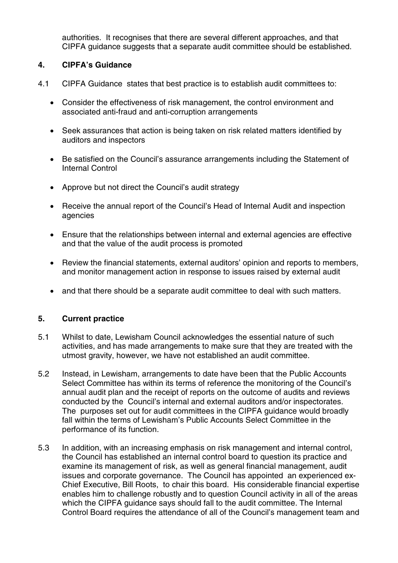authorities. It recognises that there are several different approaches, and that CIPFA guidance suggests that a separate audit committee should be established.

## **4. CIPFA's Guidance**

- 4.1 CIPFA Guidance states that best practice is to establish audit committees to:
	- Consider the effectiveness of risk management, the control environment and associated anti-fraud and anti-corruption arrangements
	- Seek assurances that action is being taken on risk related matters identified by auditors and inspectors
	- Be satisfied on the Council's assurance arrangements including the Statement of Internal Control
	- Approve but not direct the Council's audit strategy
	- Receive the annual report of the Council's Head of Internal Audit and inspection agencies
	- Ensure that the relationships between internal and external agencies are effective and that the value of the audit process is promoted
	- Review the financial statements, external auditors' opinion and reports to members, and monitor management action in response to issues raised by external audit
	- and that there should be a separate audit committee to deal with such matters.

#### **5. Current practice**

- 5.1 Whilst to date, Lewisham Council acknowledges the essential nature of such activities, and has made arrangements to make sure that they are treated with the utmost gravity, however, we have not established an audit committee.
- 5.2 Instead, in Lewisham, arrangements to date have been that the Public Accounts Select Committee has within its terms of reference the monitoring of the Council's annual audit plan and the receipt of reports on the outcome of audits and reviews conducted by the Council's internal and external auditors and/or inspectorates. The purposes set out for audit committees in the CIPFA guidance would broadly fall within the terms of Lewisham's Public Accounts Select Committee in the performance of its function.
- 5.3 In addition, with an increasing emphasis on risk management and internal control, the Council has established an internal control board to question its practice and examine its management of risk, as well as general financial management, audit issues and corporate governance. The Council has appointed an experienced ex-Chief Executive, Bill Roots, to chair this board. His considerable financial expertise enables him to challenge robustly and to question Council activity in all of the areas which the CIPFA guidance says should fall to the audit committee. The Internal Control Board requires the attendance of all of the Council's management team and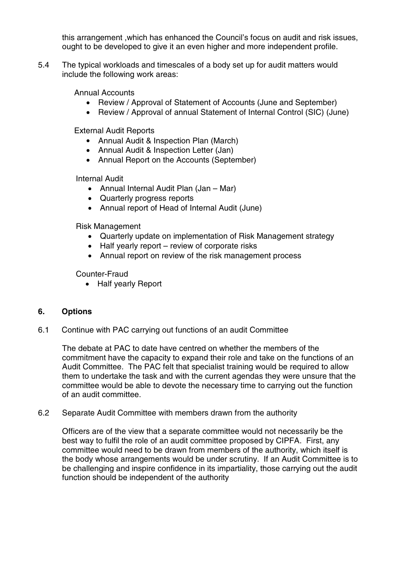this arrangement ,which has enhanced the Council's focus on audit and risk issues, ought to be developed to give it an even higher and more independent profile.

5.4 The typical workloads and timescales of a body set up for audit matters would include the following work areas:

Annual Accounts

- Review / Approval of Statement of Accounts (June and September)
- Review / Approval of annual Statement of Internal Control (SIC) (June)

External Audit Reports

- Annual Audit & Inspection Plan (March)
- Annual Audit & Inspection Letter (Jan)
- Annual Report on the Accounts (September)

Internal Audit

- Annual Internal Audit Plan (Jan Mar)
- Quarterly progress reports
- Annual report of Head of Internal Audit (June)

Risk Management

- Quarterly update on implementation of Risk Management strategy
- Half yearly report review of corporate risks
- Annual report on review of the risk management process

Counter-Fraud

• Half yearly Report

## **6. Options**

6.1 Continue with PAC carrying out functions of an audit Committee

The debate at PAC to date have centred on whether the members of the commitment have the capacity to expand their role and take on the functions of an Audit Committee. The PAC felt that specialist training would be required to allow them to undertake the task and with the current agendas they were unsure that the committee would be able to devote the necessary time to carrying out the function of an audit committee.

#### 6.2 Separate Audit Committee with members drawn from the authority

Officers are of the view that a separate committee would not necessarily be the best way to fulfil the role of an audit committee proposed by CIPFA. First, any committee would need to be drawn from members of the authority, which itself is the body whose arrangements would be under scrutiny. If an Audit Committee is to be challenging and inspire confidence in its impartiality, those carrying out the audit function should be independent of the authority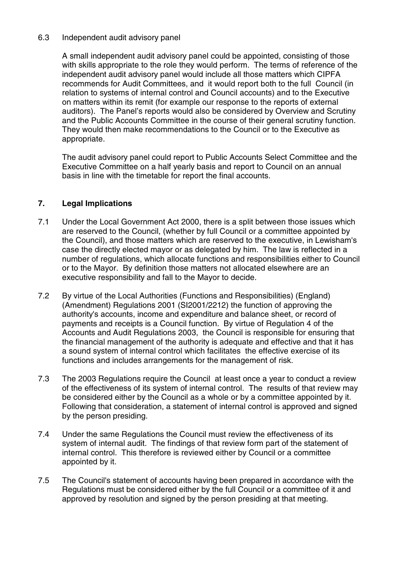## 6.3 Independent audit advisory panel

A small independent audit advisory panel could be appointed, consisting of those with skills appropriate to the role they would perform. The terms of reference of the independent audit advisory panel would include all those matters which CIPFA recommends for Audit Committees, and it would report both to the full Council (in relation to systems of internal control and Council accounts) and to the Executive on matters within its remit (for example our response to the reports of external auditors). The Panel's reports would also be considered by Overview and Scrutiny and the Public Accounts Committee in the course of their general scrutiny function. They would then make recommendations to the Council or to the Executive as appropriate.

The audit advisory panel could report to Public Accounts Select Committee and the Executive Committee on a half yearly basis and report to Council on an annual basis in line with the timetable for report the final accounts.

# **7. Legal Implications**

- 7.1 Under the Local Government Act 2000, there is a split between those issues which are reserved to the Council, (whether by full Council or a committee appointed by the Council), and those matters which are reserved to the executive, in Lewisham's case the directly elected mayor or as delegated by him. The law is reflected in a number of regulations, which allocate functions and responsibilities either to Council or to the Mayor. By definition those matters not allocated elsewhere are an executive responsibility and fall to the Mayor to decide.
- 7.2 By virtue of the Local Authorities (Functions and Responsibilities) (England) (Amendment) Regulations 2001 (SI2001/2212) the function of approving the authority's accounts, income and expenditure and balance sheet, or record of payments and receipts is a Council function. By virtue of Regulation 4 of the Accounts and Audit Regulations 2003, the Council is responsible for ensuring that the financial management of the authority is adequate and effective and that it has a sound system of internal control which facilitates the effective exercise of its functions and includes arrangements for the management of risk.
- 7.3 The 2003 Regulations require the Council at least once a year to conduct a review of the effectiveness of its system of internal control. The results of that review may be considered either by the Council as a whole or by a committee appointed by it. Following that consideration, a statement of internal control is approved and signed by the person presiding.
- 7.4 Under the same Regulations the Council must review the effectiveness of its system of internal audit. The findings of that review form part of the statement of internal control. This therefore is reviewed either by Council or a committee appointed by it.
- 7.5 The Council's statement of accounts having been prepared in accordance with the Regulations must be considered either by the full Council or a committee of it and approved by resolution and signed by the person presiding at that meeting.